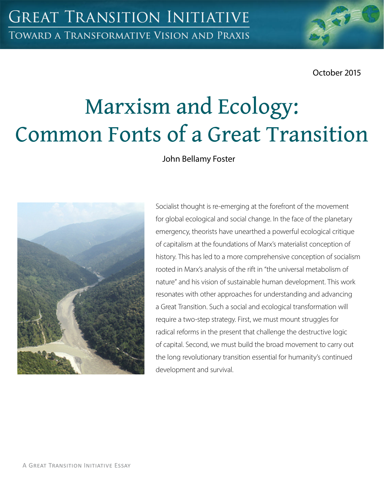October 2015

# Marxism and Ecology: Common Fonts of a Great Transition

John Bellamy Foster



Socialist thought is re-emerging at the forefront of the movement for global ecological and social change. In the face of the planetary emergency, theorists have unearthed a powerful ecological critique of capitalism at the foundations of Marx's materialist conception of history. This has led to a more comprehensive conception of socialism rooted in Marx's analysis of the rift in "the universal metabolism of nature" and his vision of sustainable human development. This work resonates with other approaches for understanding and advancing a Great Transition. Such a social and ecological transformation will require a two-step strategy. First, we must mount struggles for radical reforms in the present that challenge the destructive logic of capital. Second, we must build the broad movement to carry out the long revolutionary transition essential for humanity's continued development and survival.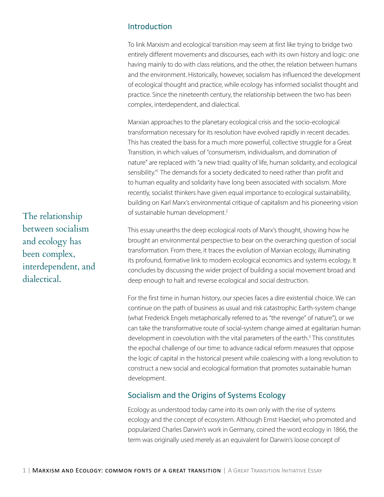# Introduction

To link Marxism and ecological transition may seem at first like trying to bridge two entirely different movements and discourses, each with its own history and logic: one having mainly to do with class relations, and the other, the relation between humans and the environment. Historically, however, socialism has influenced the development of ecological thought and practice, while ecology has informed socialist thought and practice. Since the nineteenth century, the relationship between the two has been complex, interdependent, and dialectical.

Marxian approaches to the planetary ecological crisis and the socio-ecological transformation necessary for its resolution have evolved rapidly in recent decades. This has created the basis for a much more powerful, collective struggle for a Great Transition, in which values of "consumerism, individualism, and domination of nature" are replaced with "a new triad: quality of life, human solidarity, and ecological sensibility." The demands for a society dedicated to need rather than profit and to human equality and solidarity have long been associated with socialism. More recently, socialist thinkers have given equal importance to ecological sustainability, building on Karl Marx's environmental critique of capitalism and his pioneering vision of sustainable human development.<sup>2</sup>

This essay unearths the deep ecological roots of Marx's thought, showing how he brought an environmental perspective to bear on the overarching question of social transformation. From there, it traces the evolution of Marxian ecology, illuminating its profound, formative link to modern ecological economics and systems ecology. It concludes by discussing the wider project of building a social movement broad and deep enough to halt and reverse ecological and social destruction.

For the first time in human history, our species faces a dire existential choice. We can continue on the path of business as usual and risk catastrophic Earth-system change (what Frederick Engels metaphorically referred to as "the revenge" of nature"), or we can take the transformative route of social-system change aimed at egalitarian human development in coevolution with the vital parameters of the earth.<sup>3</sup> This constitutes the epochal challenge of our time: to advance radical reform measures that oppose the logic of capital in the historical present while coalescing with a long revolution to construct a new social and ecological formation that promotes sustainable human development.

## Socialism and the Origins of Systems Ecology

Ecology as understood today came into its own only with the rise of systems ecology and the concept of ecosystem. Although Ernst Haeckel, who promoted and popularized Charles Darwin's work in Germany, coined the word ecology in 1866, the term was originally used merely as an equivalent for Darwin's loose concept of

The relationship between socialism and ecology has been complex, interdependent, and dialectical.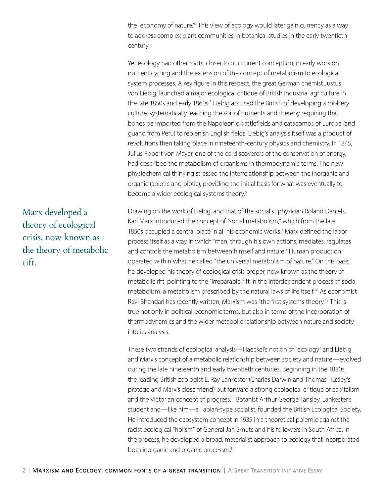the "economy of nature."<sup>4</sup> This view of ecology would later gain currency as a way to address complex plant communities in botanical studies in the early twentieth century.

Yet ecology had other roots, closer to our current conception, in early work on nutrient cycling and the extension of the concept of metabolism to ecological system processes. A key figure in this respect, the great German chemist Justus von Liebig, launched a major ecological critique of British industrial agriculture in the late 1850s and early 1860s.<sup>5</sup> Liebig accused the British of developing a robbery culture, systematically leaching the soil of nutrients and thereby requiring that bones be imported from the Napoleonic battlefields and catacombs of Europe (and guano from Peru) to replenish English fields. Liebig's analysis itself was a product of revolutions then taking place in nineteenth-century physics and chemistry. In 1845, Julius Robert von Mayer, one of the co-discoverers of the conservation of energy, had described the metabolism of organisms in thermodynamic terms. The new physiochemical thinking stressed the interrelationship between the inorganic and organic (abiotic and biotic), providing the initial basis for what was eventually to become a wider ecological systems theory.<sup>6</sup>

Drawing on the work of Liebig, and that of the socialist physician Roland Daniels, Karl Marx introduced the concept of "social metabolism," which from the late 1850s occupied a central place in all his economic works.<sup>7</sup> Marx defined the labor process itself as a way in which "man, through his own actions, mediates, regulates and controls the metabolism between himself and nature." Human production operated within what he called "the universal metabolism of nature." On this basis, he developed his theory of ecological crisis proper, now known as the theory of metabolic rift, pointing to the "irreparable rift in the interdependent process of social metabolism, a metabolism prescribed by the natural laws of life itself."8 As economist Ravi Bhandari has recently written, Marxism was "the first systems theory."9 This is true not only in political-economic terms, but also in terms of the incorporation of thermodynamics and the wider metabolic relationship between nature and society into its analysis.

These two strands of ecological analysis—Haeckel's notion of "ecology" and Liebig and Marx's concept of a metabolic relationship between society and nature—evolved during the late nineteenth and early twentieth centuries. Beginning in the 1880s, the leading British zoologist E. Ray Lankester (Charles Darwin and Thomas Huxley's protégé and Marx's close friend) put forward a strong ecological critique of capitalism and the Victorian concept of progress.<sup>10</sup> Botanist Arthur George Tansley, Lankester's student and—like him—a Fabian-type socialist, founded the British Ecological Society. He introduced the ecosystem concept in 1935 in a theoretical polemic against the racist ecological "holism" of General Jan Smuts and his followers in South Africa. In the process, he developed a broad, materialist approach to ecology that incorporated both inorganic and organic processes.<sup>11</sup>

Marx developed a theory of ecological crisis, now known as the theory of metabolic rift.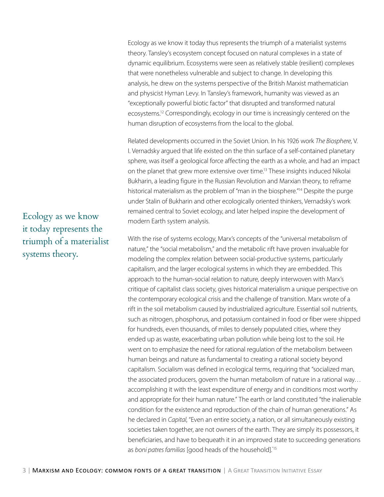Ecology as we know it today thus represents the triumph of a materialist systems theory. Tansley's ecosystem concept focused on natural complexes in a state of dynamic equilibrium. Ecosystems were seen as relatively stable (resilient) complexes that were nonetheless vulnerable and subject to change. In developing this analysis, he drew on the systems perspective of the British Marxist mathematician and physicist Hyman Levy. In Tansley's framework, humanity was viewed as an "exceptionally powerful biotic factor" that disrupted and transformed natural ecosystems.<sup>12</sup> Correspondingly, ecology in our time is increasingly centered on the human disruption of ecosystems from the local to the global.

Related developments occurred in the Soviet Union. In his 1926 work *The Biosphere*, V. I. Vernadsky argued that life existed on the thin surface of a self-contained planetary sphere, was itself a geological force affecting the earth as a whole, and had an impact on the planet that grew more extensive over time.<sup>13</sup> These insights induced Nikolai Bukharin, a leading figure in the Russian Revolution and Marxian theory, to reframe historical materialism as the problem of "man in the biosphere."<sup>14</sup> Despite the purge under Stalin of Bukharin and other ecologically oriented thinkers, Vernadsky's work remained central to Soviet ecology, and later helped inspire the development of modern Earth system analysis.

With the rise of systems ecology, Marx's concepts of the "universal metabolism of nature," the "social metabolism," and the metabolic rift have proven invaluable for modeling the complex relation between social-productive systems, particularly capitalism, and the larger ecological systems in which they are embedded. This approach to the human-social relation to nature, deeply interwoven with Marx's critique of capitalist class society, gives historical materialism a unique perspective on the contemporary ecological crisis and the challenge of transition. Marx wrote of a rift in the soil metabolism caused by industrialized agriculture. Essential soil nutrients, such as nitrogen, phosphorus, and potassium contained in food or fiber were shipped for hundreds, even thousands, of miles to densely populated cities, where they ended up as waste, exacerbating urban pollution while being lost to the soil. He went on to emphasize the need for rational regulation of the metabolism between human beings and nature as fundamental to creating a rational society beyond capitalism. Socialism was defined in ecological terms, requiring that "socialized man, the associated producers, govern the human metabolism of nature in a rational way… accomplishing it with the least expenditure of energy and in conditions most worthy and appropriate for their human nature." The earth or land constituted "the inalienable condition for the existence and reproduction of the chain of human generations." As he declared in *Capital*, "Even an entire society, a nation, or all simultaneously existing societies taken together, are not owners of the earth. They are simply its possessors, it beneficiaries, and have to bequeath it in an improved state to succeeding generations as *boni patres familias* [good heads of the household]."15

3 | MARXISM AND ECOLOGY: COMMON FONTS OF A GREAT TRANSITION | A GREAT TRANSITION INITIATIVE ESSAY

Ecology as we know it today represents the triumph of a materialist systems theory.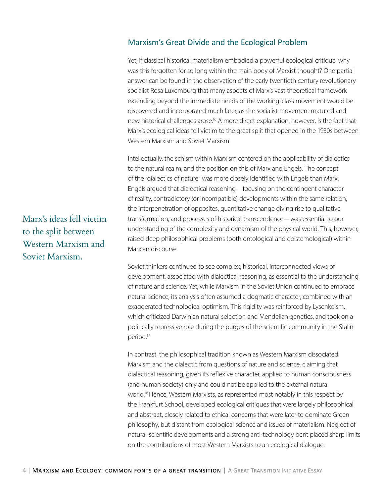## Marxism's Great Divide and the Ecological Problem

Yet, if classical historical materialism embodied a powerful ecological critique, why was this forgotten for so long within the main body of Marxist thought? One partial answer can be found in the observation of the early twentieth century revolutionary socialist Rosa Luxemburg that many aspects of Marx's vast theoretical framework extending beyond the immediate needs of the working-class movement would be discovered and incorporated much later, as the socialist movement matured and new historical challenges arose.<sup>16</sup> A more direct explanation, however, is the fact that Marx's ecological ideas fell victim to the great split that opened in the 1930s between Western Marxism and Soviet Marxism.

Intellectually, the schism within Marxism centered on the applicability of dialectics to the natural realm, and the position on this of Marx and Engels. The concept of the "dialectics of nature" was more closely identified with Engels than Marx. Engels argued that dialectical reasoning—focusing on the contingent character of reality, contradictory (or incompatible) developments within the same relation, the interpenetration of opposites, quantitative change giving rise to qualitative transformation, and processes of historical transcendence—was essential to our understanding of the complexity and dynamism of the physical world. This, however, raised deep philosophical problems (both ontological and epistemological) within Marxian discourse.

Soviet thinkers continued to see complex, historical, interconnected views of development, associated with dialectical reasoning, as essential to the understanding of nature and science. Yet, while Marxism in the Soviet Union continued to embrace natural science, its analysis often assumed a dogmatic character, combined with an exaggerated technological optimism. This rigidity was reinforced by Lysenkoism, which criticized Darwinian natural selection and Mendelian genetics, and took on a politically repressive role during the purges of the scientific community in the Stalin period.17

In contrast, the philosophical tradition known as Western Marxism dissociated Marxism and the dialectic from questions of nature and science, claiming that dialectical reasoning, given its reflexive character, applied to human consciousness (and human society) only and could not be applied to the external natural world.18 Hence, Western Marxists, as represented most notably in this respect by the Frankfurt School, developed ecological critiques that were largely philosophical and abstract, closely related to ethical concerns that were later to dominate Green philosophy, but distant from ecological science and issues of materialism. Neglect of natural-scientific developments and a strong anti-technology bent placed sharp limits on the contributions of most Western Marxists to an ecological dialogue.

Marx's ideas fell victim to the split between Western Marxism and Soviet Marxism.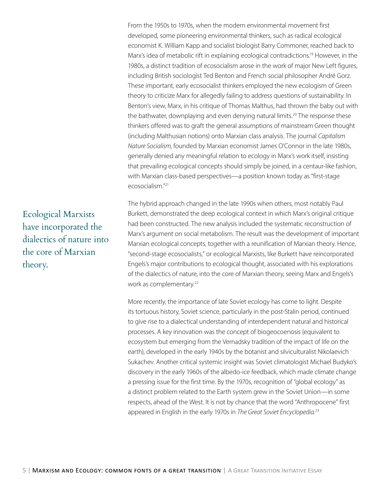From the 1950s to 1970s, when the modern environmental movement first developed, some pioneering environmental thinkers, such as radical ecological economist K. William Kapp and socialist biologist Barry Commoner, reached back to Marx's idea of metabolic rift in explaining ecological contradictions.<sup>19</sup> However, in the 1980s, a distinct tradition of ecosocialism arose in the work of major New Left figures, including British sociologist Ted Benton and French social philosopher André Gorz. These important, early ecosocialist thinkers employed the new ecologism of Green theory to criticize Marx for allegedly failing to address questions of sustainability. In Benton's view, Marx, in his critique of Thomas Malthus, had thrown the baby out with the bathwater, downplaying and even denying natural limits.<sup>20</sup> The response these thinkers offered was to graft the general assumptions of mainstream Green thought (including Malthusian notions) onto Marxian class analysis. The journal *Capitalism Nature Socialism*, founded by Marxian economist James O'Connor in the late 1980s, generally denied any meaningful relation to ecology in Marx's work itself, insisting that prevailing ecological concepts should simply be joined, in a centaur-like fashion, with Marxian class-based perspectives—a position known today as "first-stage ecosocialism<sup>"21</sup>

The hybrid approach changed in the late 1990s when others, most notably Paul Burkett, demonstrated the deep ecological context in which Marx's original critique had been constructed. The new analysis included the systematic reconstruction of Marx's argument on social metabolism. The result was the development of important Marxian ecological concepts, together with a reunification of Marxian theory. Hence, "second-stage ecosocialists," or ecological Marxists, like Burkett have reincorporated Engels's major contributions to ecological thought, associated with his explorations of the dialectics of nature, into the core of Marxian theory, seeing Marx and Engels's work as complementary.<sup>22</sup>

More recently, the importance of late Soviet ecology has come to light. Despite its tortuous history, Soviet science, particularly in the post-Stalin period, continued to give rise to a dialectical understanding of interdependent natural and historical processes. A key innovation was the concept of biogeocoenosis (equivalent to ecosystem but emerging from the Vernadsky tradition of the impact of life on the earth), developed in the early 1940s by the botanist and silviculturalist Nikolaevich Sukachev. Another critical systemic insight was Soviet climatologist Michael Budyko's discovery in the early 1960s of the albedo-ice feedback, which made climate change a pressing issue for the first time. By the 1970s, recognition of "global ecology" as a distinct problem related to the Earth system grew in the Soviet Union—in some respects, ahead of the West. It is not by chance that the word "Anthropocene" first appeared in English in the early 1970s in *The Great Soviet Encyclopedia*. 23

Ecological Marxists have incorporated the dialectics of nature into the core of Marxian theory.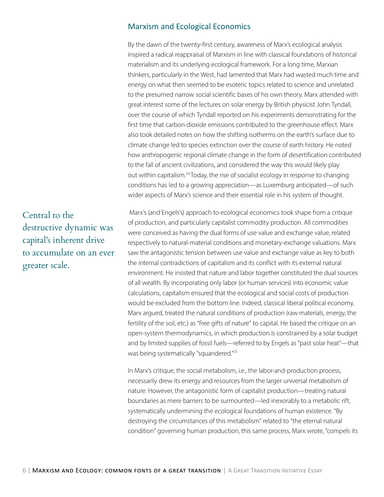## Marxism and Ecological Economics

By the dawn of the twenty-first century, awareness of Marx's ecological analysis inspired a radical reappraisal of Marxism in line with classical foundations of historical materialism and its underlying ecological framework. For a long time, Marxian thinkers, particularly in the West, had lamented that Marx had wasted much time and energy on what then seemed to be esoteric topics related to science and unrelated to the presumed narrow social scientific bases of his own theory. Marx attended with great interest some of the lectures on solar energy by British physicist John Tyndall, over the course of which Tyndall reported on his experiments demonstrating for the first time that carbon dioxide emissions contributed to the greenhouse effect. Marx also took detailed notes on how the shifting isotherms on the earth's surface due to climate change led to species extinction over the course of earth history. He noted how anthropogenic regional climate change in the form of desertification contributed to the fall of ancient civilizations, and considered the way this would likely play out within capitalism.<sup>24</sup> Today, the rise of socialist ecology in response to changing conditions has led to a growing appreciation—as Luxemburg anticipated—of such wider aspects of Marx's science and their essential role in his system of thought.

 Marx's (and Engels's) approach to ecological economics took shape from a critique of production, and particularly capitalist commodity production. All commodities were conceived as having the dual forms of use value and exchange value, related respectively to natural-material conditions and monetary-exchange valuations. Marx saw the antagonistic tension between use value and exchange value as key to both the internal contradictions of capitalism and its conflict with its external natural environment. He insisted that nature and labor together constituted the dual sources of all wealth. By incorporating only labor (or human services) into economic value calculations, capitalism ensured that the ecological and social costs of production would be excluded from the bottom line. Indeed, classical liberal political economy, Marx argued, treated the natural conditions of production (raw materials, energy, the fertility of the soil, etc.) as "free gifts of nature" to capital. He based the critique on an open-system thermodynamics, in which production is constrained by a solar budget and by limited supplies of fossil fuels—referred to by Engels as "past solar heat"—that was being systematically "squandered."25

In Marx's critique, the social metabolism, i.e., the labor-and-production process, necessarily drew its energy and resources from the larger universal metabolism of nature. However, the antagonistic form of capitalist production—treating natural boundaries as mere barriers to be surmounted—led inexorably to a metabolic rift, systematically undermining the ecological foundations of human existence. "By destroying the circumstances of this metabolism" related to "the eternal natural condition" governing human production, this same process, Marx wrote, "compels its

Central to the destructive dynamic was capital's inherent drive to accumulate on an ever greater scale.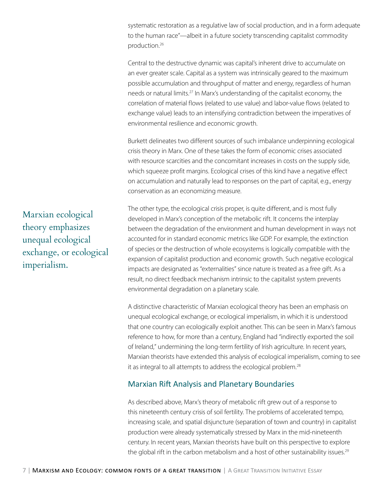systematic restoration as a regulative law of social production, and in a form adequate to the human race"—albeit in a future society transcending capitalist commodity production.26

Central to the destructive dynamic was capital's inherent drive to accumulate on an ever greater scale. Capital as a system was intrinsically geared to the maximum possible accumulation and throughput of matter and energy, regardless of human needs or natural limits.<sup>27</sup> In Marx's understanding of the capitalist economy, the correlation of material flows (related to use value) and labor-value flows (related to exchange value) leads to an intensifying contradiction between the imperatives of environmental resilience and economic growth.

Burkett delineates two different sources of such imbalance underpinning ecological crisis theory in Marx. One of these takes the form of economic crises associated with resource scarcities and the concomitant increases in costs on the supply side, which squeeze profit margins. Ecological crises of this kind have a negative effect on accumulation and naturally lead to responses on the part of capital, e.g., energy conservation as an economizing measure.

The other type, the ecological crisis proper, is quite different, and is most fully developed in Marx's conception of the metabolic rift. It concerns the interplay between the degradation of the environment and human development in ways not accounted for in standard economic metrics like GDP. For example, the extinction of species or the destruction of whole ecosystems is logically compatible with the expansion of capitalist production and economic growth. Such negative ecological impacts are designated as "externalities" since nature is treated as a free gift. As a result, no direct feedback mechanism intrinsic to the capitalist system prevents environmental degradation on a planetary scale.

A distinctive characteristic of Marxian ecological theory has been an emphasis on unequal ecological exchange, or ecological imperialism, in which it is understood that one country can ecologically exploit another. This can be seen in Marx's famous reference to how, for more than a century, England had "indirectly exported the soil of Ireland," undermining the long-term fertility of Irish agriculture. In recent years, Marxian theorists have extended this analysis of ecological imperialism, coming to see it as integral to all attempts to address the ecological problem.<sup>28</sup>

## Marxian Rift Analysis and Planetary Boundaries

As described above, Marx's theory of metabolic rift grew out of a response to this nineteenth century crisis of soil fertility. The problems of accelerated tempo, increasing scale, and spatial disjuncture (separation of town and country) in capitalist production were already systematically stressed by Marx in the mid-nineteenth century. In recent years, Marxian theorists have built on this perspective to explore the global rift in the carbon metabolism and a host of other sustainability issues.<sup>29</sup>

Marxian ecological theory emphasizes unequal ecological exchange, or ecological imperialism.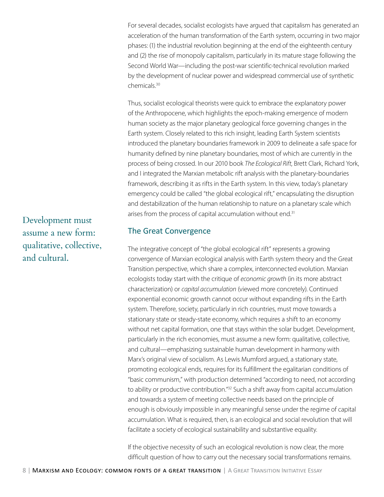For several decades, socialist ecologists have argued that capitalism has generated an acceleration of the human transformation of the Earth system, occurring in two major phases: (1) the industrial revolution beginning at the end of the eighteenth century and (2) the rise of monopoly capitalism, particularly in its mature stage following the Second World War—including the post-war scientific-technical revolution marked by the development of nuclear power and widespread commercial use of synthetic chemicals.30

Thus, socialist ecological theorists were quick to embrace the explanatory power of the Anthropocene, which highlights the epoch-making emergence of modern human society as the major planetary geological force governing changes in the Earth system. Closely related to this rich insight, leading Earth System scientists introduced the planetary boundaries framework in 2009 to delineate a safe space for humanity defined by nine planetary boundaries, most of which are currently in the process of being crossed. In our 2010 book *The Ecological Rift*, Brett Clark, Richard York, and I integrated the Marxian metabolic rift analysis with the planetary-boundaries framework, describing it as rifts in the Earth system. In this view, today's planetary emergency could be called "the global ecological rift," encapsulating the disruption and destabilization of the human relationship to nature on a planetary scale which arises from the process of capital accumulation without end.<sup>31</sup>

#### The Great Convergence

The integrative concept of "the global ecological rift" represents a growing convergence of Marxian ecological analysis with Earth system theory and the Great Transition perspective, which share a complex, interconnected evolution. Marxian ecologists today start with the critique of *economic growth* (in its more abstract characterization) or *capital accumulation* (viewed more concretely). Continued exponential economic growth cannot occur without expanding rifts in the Earth system. Therefore, society, particularly in rich countries, must move towards a stationary state or steady-state economy, which requires a shift to an economy without net capital formation, one that stays within the solar budget. Development, particularly in the rich economies, must assume a new form: qualitative, collective, and cultural—emphasizing sustainable human development in harmony with Marx's original view of socialism. As Lewis Mumford argued, a stationary state, promoting ecological ends, requires for its fulfillment the egalitarian conditions of "basic communism," with production determined "according to need, not according to ability or productive contribution."<sup>32</sup> Such a shift away from capital accumulation and towards a system of meeting collective needs based on the principle of enough is obviously impossible in any meaningful sense under the regime of capital accumulation. What is required, then, is an ecological and social revolution that will facilitate a society of ecological sustainability and substantive equality.

If the objective necessity of such an ecological revolution is now clear, the more difficult question of how to carry out the necessary social transformations remains.

Development must assume a new form: qualitative, collective, and cultural.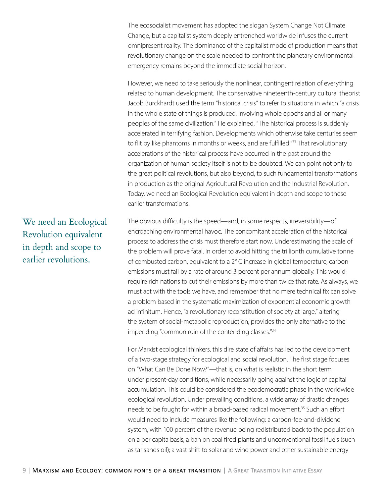The ecosocialist movement has adopted the slogan System Change Not Climate Change, but a capitalist system deeply entrenched worldwide infuses the current omnipresent reality. The dominance of the capitalist mode of production means that revolutionary change on the scale needed to confront the planetary environmental emergency remains beyond the immediate social horizon.

However, we need to take seriously the nonlinear, contingent relation of everything related to human development. The conservative nineteenth-century cultural theorist Jacob Burckhardt used the term "historical crisis" to refer to situations in which "a crisis in the whole state of things is produced, involving whole epochs and all or many peoples of the same civilization." He explained, "The historical process is suddenly accelerated in terrifying fashion. Developments which otherwise take centuries seem to flit by like phantoms in months or weeks, and are fulfilled."<sup>33</sup> That revolutionary accelerations of the historical process have occurred in the past around the organization of human society itself is not to be doubted. We can point not only to the great political revolutions, but also beyond, to such fundamental transformations in production as the original Agricultural Revolution and the Industrial Revolution. Today, we need an Ecological Revolution equivalent in depth and scope to these earlier transformations.

The obvious difficulty is the speed—and, in some respects, irreversibility—of encroaching environmental havoc. The concomitant acceleration of the historical process to address the crisis must therefore start now. Underestimating the scale of the problem will prove fatal. In order to avoid hitting the trillionth cumulative tonne of combusted carbon, equivalent to a 2° C increase in global temperature, carbon emissions must fall by a rate of around 3 percent per annum globally. This would require rich nations to cut their emissions by more than twice that rate. As always, we must act with the tools we have, and remember that no mere technical fix can solve a problem based in the systematic maximization of exponential economic growth ad infinitum. Hence, "a revolutionary reconstitution of society at large," altering the system of social-metabolic reproduction, provides the only alternative to the impending "common ruin of the contending classes."34

For Marxist ecological thinkers, this dire state of affairs has led to the development of a two-stage strategy for ecological and social revolution. The first stage focuses on "What Can Be Done Now?"—that is, on what is realistic in the short term under present-day conditions, while necessarily going against the logic of capital accumulation. This could be considered the ecodemocratic phase in the worldwide ecological revolution. Under prevailing conditions, a wide array of drastic changes needs to be fought for within a broad-based radical movement.<sup>35</sup> Such an effort would need to include measures like the following: a carbon-fee-and-dividend system, with 100 percent of the revenue being redistributed back to the population on a per capita basis; a ban on coal fired plants and unconventional fossil fuels (such as tar sands oil); a vast shift to solar and wind power and other sustainable energy

We need an Ecological Revolution equivalent in depth and scope to earlier revolutions.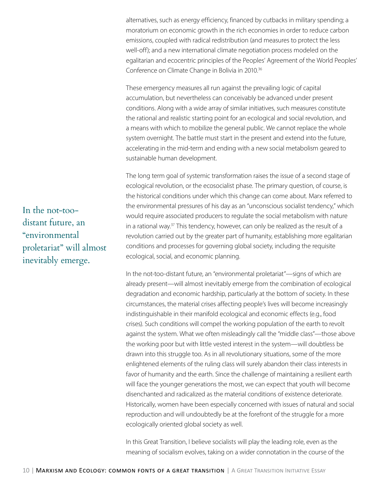alternatives, such as energy efficiency, financed by cutbacks in military spending; a moratorium on economic growth in the rich economies in order to reduce carbon emissions, coupled with radical redistribution (and measures to protect the less well-off); and a new international climate negotiation process modeled on the egalitarian and ecocentric principles of the Peoples' Agreement of the World Peoples' Conference on Climate Change in Bolivia in 2010.<sup>36</sup>

These emergency measures all run against the prevailing logic of capital accumulation, but nevertheless can conceivably be advanced under present conditions. Along with a wide array of similar initiatives, such measures constitute the rational and realistic starting point for an ecological and social revolution, and a means with which to mobilize the general public. We cannot replace the whole system overnight. The battle must start in the present and extend into the future, accelerating in the mid-term and ending with a new social metabolism geared to sustainable human development.

The long term goal of systemic transformation raises the issue of a second stage of ecological revolution, or the ecosocialist phase. The primary question, of course, is the historical conditions under which this change can come about. Marx referred to the environmental pressures of his day as an "unconscious socialist tendency," which would require associated producers to regulate the social metabolism with nature in a rational way.37 This tendency, however, can only be realized as the result of a revolution carried out by the greater part of humanity, establishing more egalitarian conditions and processes for governing global society, including the requisite ecological, social, and economic planning.

In the not-too-distant future, an "environmental proletariat"—signs of which are already present—will almost inevitably emerge from the combination of ecological degradation and economic hardship, particularly at the bottom of society. In these circumstances, the material crises affecting people's lives will become increasingly indistinguishable in their manifold ecological and economic effects (e.g., food crises). Such conditions will compel the working population of the earth to revolt against the system. What we often misleadingly call the "middle class"—those above the working poor but with little vested interest in the system—will doubtless be drawn into this struggle too. As in all revolutionary situations, some of the more enlightened elements of the ruling class will surely abandon their class interests in favor of humanity and the earth. Since the challenge of maintaining a resilient earth will face the younger generations the most, we can expect that youth will become disenchanted and radicalized as the material conditions of existence deteriorate. Historically, women have been especially concerned with issues of natural and social reproduction and will undoubtedly be at the forefront of the struggle for a more ecologically oriented global society as well.

In this Great Transition, I believe socialists will play the leading role, even as the meaning of socialism evolves, taking on a wider connotation in the course of the

In the not-toodistant future, an "environmental proletariat" will almost inevitably emerge.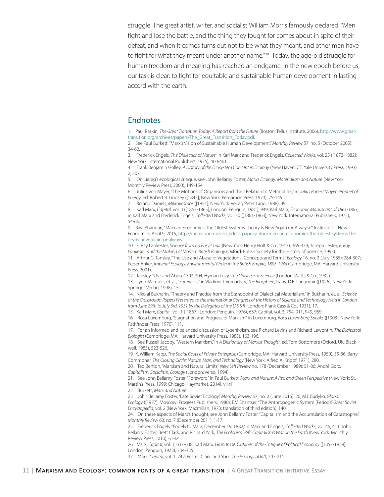struggle. The great artist, writer, and socialist William Morris famously declared, "Men fight and lose the battle, and the thing they fought for comes about in spite of their defeat, and when it comes turns out not to be what they meant, and other men have to fight for what they meant under another name.<sup>"38</sup> Today, the age-old struggle for human freedom and meaning has reached an endgame. In the new epoch before us, our task is clear: to fight for equitable and sustainable human development in lasting accord with the earth.

#### Endnotes

1. Paul Raskin, *The Great Transition Today: A Report from the Future* (Boston: Tellus Institute, 2006), http://www.greattransition.org/archives/papers/The\_Great\_Transition\_Today.pdf.

2. See Paul Burkett, "Marx's Vision of Sustainable Human Development," *Monthly Review* 57, no. 5 (October 2005): 34-62.

3. Frederick Engels, *The Dialectics of Nature*, in Karl Marx and Frederick Engels, *Collected Works,* vol. 25 ([1873-1882]; New York: International Publishers, 1975), 460-461.

4. Frank Benjamin Golley, *A History of the Ecosystem Concept in Ecology* (New Haven, CT: Yale University Press, 1993), 2, 207.

5. On Liebig's ecological critique, see John Bellamy Foster, *Marx's Ecology: Materialism and Nature* (New York: Monthly Review Press, 2000), 149-154.

6. Julius von Mayer, "The Motions of Organisms and Their Relation to Metabolism," in *Julius Robert Mayer: Prophet of Energy*, ed. Robert B. Lindsey ([1845]; New York: Pergamon Press, 1973), 75-145.

7. Roland Daniels, *Mikrokosmos* ([1851]; New York: Verlag Peter Lang, 1988), 49.

8. Karl Marx, *Capital*, vol. 3 ([1863-1865]; London: Penguin, 1981), 949; Karl Marx, *Economic Manuscript of 1861-1863,* in Karl Marx and Frederick Engels, *Collected Works*, vol. 30 ([1861-1863]; New York: International Publishers, 1975), 54-66.

9. Ravi Bhandari, "Marxian Economics: The Oldest Systems Theory is New Again (or Always)?" Institute for New Economics, April 9, 2015, http://ineteconomics.org/ideas-papers/blog/marxian-economics-the-oldest-systems-the ory-is-new-again-or-always.

10. E. Ray Lankester, *Science from an Easy Chair* (New York: Henry Holt & Co., 1913), 365-379; Joseph Lester, *E. Ray Lankester and the Making of Modern British Biology* (Oxford: British Society for the History of Science, 1995).

11. Arthur G. Tansley, "The Use and Abuse of Vegetational Concepts and Terms," *Ecology* 16, no. 3 (July 1935): 284-307; Peder Anker, *Imperial Ecology: Environmental Order in the British Empire, 1895-1945* (Cambridge, MA: Harvard University Press, 2001).

12. Tansley, "Use and Abuse," 303-304; Hyman Levy, *The Universe of Science* (London: Watts & Co., 1932).

13. Lynn Margulis, et. al., "Foreword," in Vladimir I. Vernadsky, *The Biosphere*, trans. D.B. Langmuir ([1926]; New York: Springer-Verlag, 1998), 15.

14. Nikolai Bukharin, "Theory and Practice from the Standpoint of Dialectical Materialism," in Bukharin, et. al, *Science at the Crossroads: Papers Presented to the International Congress of the History of Science and Technology Held in London from June 29th to July 3rd, 1931 by the Delegates of the U.S.S.R* (London: Frank Cass & Co., 1931), 17.

15. Karl Marx, *Capita*l, vol. 1 ([1867]; London: Penguin, 1976), 637; Capital, vol. 3, 754, 911, 949, 959.

16. Rosa Luxemburg, "Stagnation and Progress of Marxism," in Luxemburg, *Rosa Luxemburg Speaks* ([1903]; New York: Pathfinder Press, 1970), 111.

17. For an informed and balanced discussion of Lysenkoism, see Richard Levins and Richard Lewontin, *The Dialectcal Biologist* (Cambridge, MA: Harvard University Press, 1985), 163-196.

18. See Russell Jacoby, "Western Marxism," in *A Dictionary of Marxist Thought*, ed. Tom Bottomore (Oxford, UK: Blackwell, 1983), 523-526.

19. K. William Kapp, *The Social Costs of Private Enterprise* (Cambridge, MA: Harvard University Press, 1950), 35-36; Barry Commoner, *The Closing Circle: Nature, Man, and Technology* (New York: Alfred A. Knopf, 1971), 280.

20. Ted Benton, "Marxism and Natural Limits," *New Left Review* no. 178 (December 1989): 51-86; André Gorz, *Capitalism, Socialism, Ecology* (London: Verso, 1994).

21. See John Bellamy Foster, "Foreword," in Paul Burkett, *Marx and Nature: A Red and Green Perspective* (New York: St. Martin's Press, 1999; Chicago: Haymarket, 2014), vii-xiii.

22. Burkett, *Marx and Nature*.

23. John Bellamy Foster, "Late Soviet Ecology," *Monthly Review* 67, no. 2 (June 2015): 20; M.I. Budyko, *Global Ecology* ([1977]; Moscow: Progress Publishers, 1980); E.V. Shantser, "The Anthropogenic System (Period)," *Great Soviet Encyclopedia*, vol. 2 (New York: Macmillan, 1973; translation of third edition), 140.

24. On these aspects of Marx's thought, see John Bellamy Foster, "Capitalism and the Accumulation of Catastrophe," *Monthly Review* 63, no. 7 (December 2011): 1-17.

25. Frederick Engels, "Engels to Marx, December 19, 1882," in Marx and Engels, *Collected Works,* vol. 46, 411; John Bellamy Foster, Brett Clark, and Richard York, *The Ecological Rift: Capitalism's War on the Earth* (New York: Monthly Review Press, 2010), 61-64.

26. Marx, *Capital*, vol. 1, 637-638; Karl Marx*, Grundrisse: Outlines of the Critique of Political Economy* ([1857-1858]; London: Penguin, 1973), 334-335.

27. Marx, *Capital,* vol. 1, 742; Foster, Clark, and York, *The Ecological Rift*, 207-211.